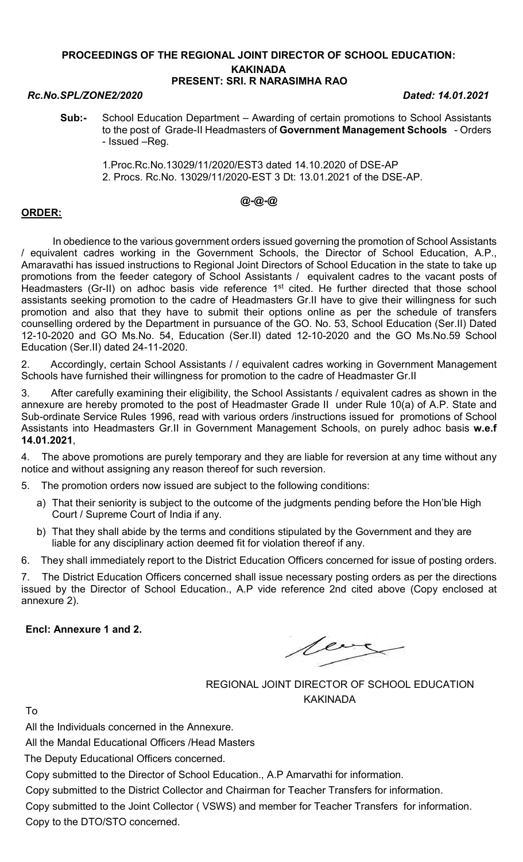### PROCEEDINGS OF THE REGIONAL JOINT DIRECTOR OF SCHOOL EDUCATION: KAKINADA PRESENT: SRI. R NARASIMHA RAO

### Rc.No.SPL/ZONE2/2020 Dated: 14.01.2021

- Sub:- School Education Department Awarding of certain promotions to School Assistants to the post of Grade-II Headmasters of Government Management Schools - Orders - Issued –Reg.
	- 1.Proc.Rc.No.13029/11/2020/EST3 dated 14.10.2020 of DSE-AP 2. Procs. Rc.No. 13029/11/2020-EST 3 Dt: 13.01.2021 of the DSE-AP.

# @-@-@

## ORDER:

 In obedience to the various government orders issued governing the promotion of School Assistants / equivalent cadres working in the Government Schools, the Director of School Education, A.P., Amaravathi has issued instructions to Regional Joint Directors of School Education in the state to take up promotions from the feeder category of School Assistants / equivalent cadres to the vacant posts of Headmasters (Gr-II) on adhoc basis vide reference 1<sup>st</sup> cited. He further directed that those school assistants seeking promotion to the cadre of Headmasters Gr.II have to give their willingness for such promotion and also that they have to submit their options online as per the schedule of transfers counselling ordered by the Department in pursuance of the GO. No. 53, School Education (Ser.II) Dated 12-10-2020 and GO Ms.No. 54, Education (Ser.II) dated 12-10-2020 and the GO Ms.No.59 School Education (Ser.II) dated 24-11-2020.

2. Accordingly, certain School Assistants / / equivalent cadres working in Government Management Schools have furnished their willingness for promotion to the cadre of Headmaster Gr.II

3. After carefully examining their eligibility, the School Assistants / equivalent cadres as shown in the annexure are hereby promoted to the post of Headmaster Grade II under Rule 10(a) of A.P. State and Sub-ordinate Service Rules 1996, read with various orders /instructions issued for promotions of School Assistants into Headmasters Gr.II in Government Management Schools, on purely adhoc basis w.e.f 14.01.2021,

4. The above promotions are purely temporary and they are liable for reversion at any time without any notice and without assigning any reason thereof for such reversion.

5. The promotion orders now issued are subject to the following conditions:

- a) That their seniority is subject to the outcome of the judgments pending before the Hon'ble High Court / Supreme Court of India if any.
- b) That they shall abide by the terms and conditions stipulated by the Government and they are liable for any disciplinary action deemed fit for violation thereof if any.

6. They shall immediately report to the District Education Officers concerned for issue of posting orders.

7. The District Education Officers concerned shall issue necessary posting orders as per the directions issued by the Director of School Education., A.P vide reference 2nd cited above (Copy enclosed at annexure 2).

Encl: Annexure 1 and 2.

lear

REGIONAL JOINT DIRECTOR OF SCHOOL EDUCATION KAKINADA

To

All the Individuals concerned in the Annexure.

All the Mandal Educational Officers /Head Masters

The Deputy Educational Officers concerned.

Copy submitted to the Director of School Education., A.P Amarvathi for information.

Copy submitted to the District Collector and Chairman for Teacher Transfers for information.

Copy submitted to the Joint Collector ( VSWS) and member for Teacher Transfers for information. Copy to the DTO/STO concerned.